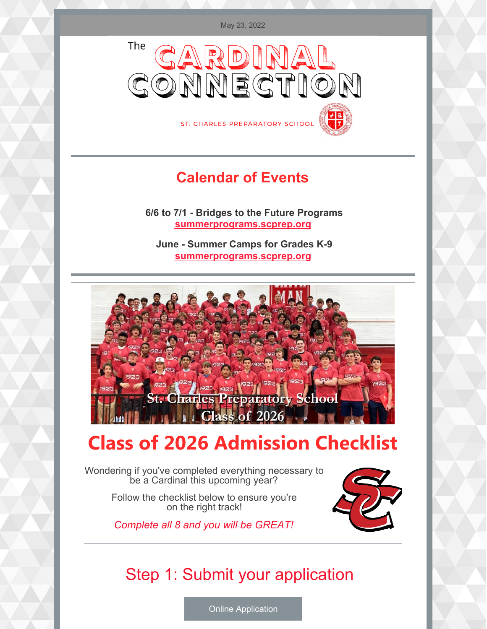

ST. CHARLES PREPARATORY SCHOOL

#### **Calendar of Events**

**6/6 to 7/1 - Bridges to the Future Programs [summerprograms.scprep.org](https://www.stcharlesprep.org/summer-camps/)**

**June - Summer Camps for Grades K-9 [summerprograms.scprep.org](https://www.stcharlesprep.org/summer-camps/)**



### **Class of 2026 Admission Checklist**

Wondering if you've completed everything necessary to be a Cardinal this upcoming year?

> Follow the checklist below to ensure you're on the right track!

*Complete all 8 and you will be GREAT!*



### Step 1: Submit your application

Online [Application](https://www.stcharlesprep.org/online-application/)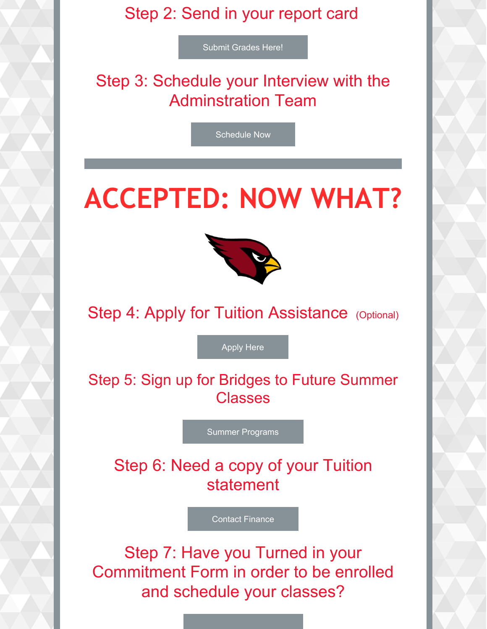#### Step 2: Send in your report card

Submit [Grades](mailto:amryan@scprep.org) Here!

Step 3: Schedule your Interview with the Adminstration Team

[Schedule](mailto:jlawler@scprep.org) Now

# **ACCEPTED: NOW WHAT?**



Step 4: Apply for Tuition Assistance (Optional)

[Apply](https://online.factsmgt.com/signin/3WQBS) Here

Step 5: Sign up for Bridges to Future Summer Classes

Summer [Programs](https://www.stcharlesprep.org/summer-camps/)

Step 6: Need a copy of your Tuition statement

Contact [Finance](mailto:tloesing@scprep.org)

Step 7: Have you Turned in your Commitment Form in order to be enrolled and schedule your classes?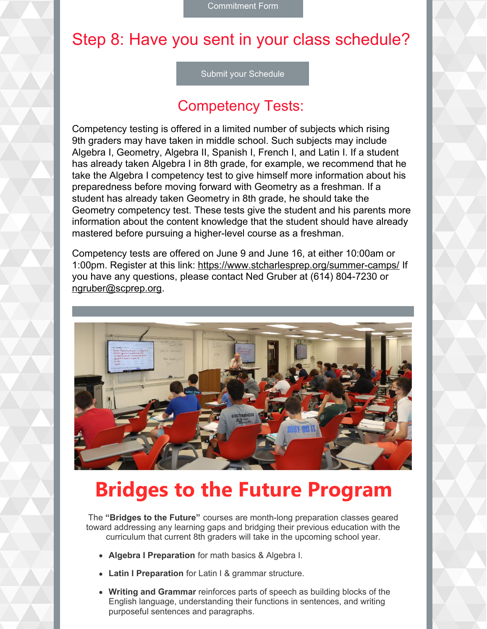### Step 8: Have you sent in your class schedule?

Submit your [Schedule](https://forms.office.com/Pages/ResponsePage.aspx?id=2RFXlv8hIkqeXLAFXGn3w3ssLVJnQWJKtbU3T_jYaMxURUZWWlQ0SjFTUkFZOVJUWlpGOEVQWVY1VC4u)

#### Competency Tests:

Competency testing is offered in a limited number of subjects which rising 9th graders may have taken in middle school. Such subjects may include Algebra I, Geometry, Algebra II, Spanish I, French I, and Latin I. If a student has already taken Algebra I in 8th grade, for example, we recommend that he take the Algebra I competency test to give himself more information about his preparedness before moving forward with Geometry as a freshman. If a student has already taken Geometry in 8th grade, he should take the Geometry competency test. These tests give the student and his parents more information about the content knowledge that the student should have already mastered before pursuing a higher-level course as a freshman.

Competency tests are offered on June 9 and June 16, at either 10:00am or 1:00pm. Register at this link: <https://www.stcharlesprep.org/summer-camps/> If you have any questions, please contact Ned Gruber at (614) 804-7230 or [ngruber@scprep.org](http://ngruber@scprep.org).



## **Bridges to the Future Program**

The **"Bridges to the Future"** courses are month-long preparation classes geared toward addressing any learning gaps and bridging their previous education with the curriculum that current 8th graders will take in the upcoming school year.

- **Algebra I Preparation** for math basics & Algebra I.
- **Latin I Preparation** for Latin I & grammar structure.
- **Writing and Grammar** reinforces parts of speech as building blocks of the English language, understanding their functions in sentences, and writing purposeful sentences and paragraphs.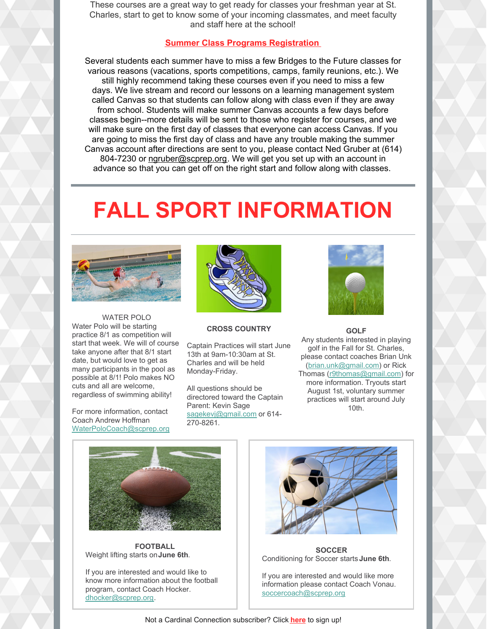These courses are a great way to get ready for classes your freshman year at St. Charles, start to get to know some of your incoming classmates, and meet faculty and staff here at the school!

#### **Summer Class Programs [Registration](https://www.stcharlesprep.org/summer-camps/)**

Several students each summer have to miss a few Bridges to the Future classes for various reasons (vacations, sports competitions, camps, family reunions, etc.). We still highly recommend taking these courses even if you need to miss a few days. We live stream and record our lessons on a learning management system called Canvas so that students can follow along with class even if they are away from school. Students will make summer Canvas accounts a few days before classes begin--more details will be sent to those who register for courses, and we will make sure on the first day of classes that everyone can access Canvas. If you are going to miss the first day of class and have any trouble making the summer Canvas account after directions are sent to you, please contact Ned Gruber at (614) 804-7230 or [ngruber@scprep.org](http://ngruber@scprep.org). We will get you set up with an account in advance so that you can get off on the right start and follow along with classes.

## **FALL SPORT INFORMATION**



WATER POLO Water Polo will be starting practice 8/1 as competition will start that week. We will of course take anyone after that 8/1 start date, but would love to get as many participants in the pool as possible at 8/1! Polo makes NO cuts and all are welcome, regardless of swimming ability!

For more information, contact Coach Andrew Hoffman [WaterPoloCoach@scprep.org](mailto:waterpolocoach@scprep.org)



#### **CROSS COUNTRY**

Captain Practices will start June 13th at 9am-10:30am at St. Charles and will be held Monday-Friday.

All questions should be directored toward the Captain Parent: Kevin Sage [sagekevj@gmail.com](mailto:sagekevj@gmail.com) or 614-270-8261.



**GOLF** Any students interested in playing golf in the Fall for St. Charles, please contact coaches Brian Unk [\(brian.unk@gmail.com](mailto:brian.unk@gmail.com)) or Rick Thomas [\(r9thomas@gmail.com](mailto:r9thomas@gmail.com)) for more information. Tryouts start August 1st, voluntary summer practices will start around July 10th.



**FOOTBALL** Weight lifting starts on**June 6th**.

If you are interested and would like to know more information about the football program, contact Coach Hocker. [dhocker@scprep.org](mailto:dhocker@scprep.org).



**SOCCER** Conditioning for Soccer starts **June 6th**.

If you are interested and would like more information please contact Coach Vonau. [soccercoach@scprep.org](mailto:soccercoach@scprep.org)

Not a Cardinal Connection subscriber? Click **[here](https://www.stcharlesprep.org/admissions-2/future-cardinal-email-list/)** to sign up!